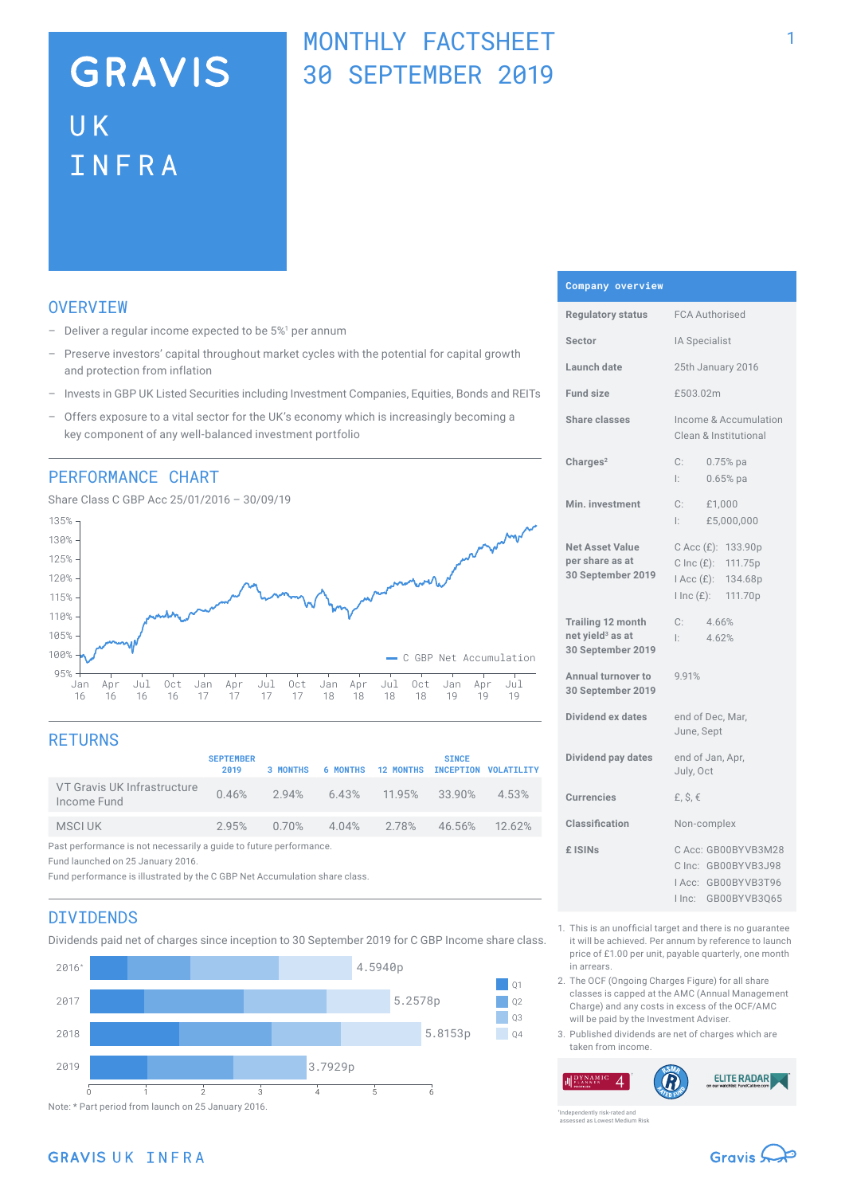# **GRAVIS UK** INFRA

## MONTHLY FACTSHEET 30 SEPTEMBER 2019

## **OVERVTEW**

- $-$  Deliver a regular income expected to be  $5\%$ <sup>1</sup> per annum
- Preserve investors' capital throughout market cycles with the potential for capital growth and protection from inflation
- Invests in GBP UK Listed Securities including Investment Companies, Equities, Bonds and REITs
- Offers exposure to a vital sector for the UK's economy which is increasingly becoming a key component of any well-balanced investment portfolio

### PERFORMANCE CHART

Share Class C GBP Acc 25/01/2016 – 30/09/19



## **RETURNS**

|                                                                    | <b>SEPTEMBER</b><br>2019 | 3 MONTHS | <b>6 MONTHS</b>      | <b>12 MONTHS</b>                | <b>SINCE</b> | INCEPTION VOLATILITY |
|--------------------------------------------------------------------|--------------------------|----------|----------------------|---------------------------------|--------------|----------------------|
| VT Gravis UK Infrastructure<br>Income Fund                         |                          |          |                      | 0.46% 2.94% 6.43% 11.95% 33.90% |              | 4.53%                |
| MSCI UK                                                            | 2.95%                    |          | $0.70\%$ 4.04% 2.78% |                                 | 46.56%       | 12.62%               |
| Past performance is not necessarily a guide to future performance. |                          |          |                      |                                 |              |                      |

Fund launched on 25 January 2016.

Fund performance is illustrated by the C GBP Net Accumulation share class.

### DIVIDENDS

Dividends paid net of charges since inception to 30 September 2019 for C GBP Income share class.



#### **Company overview**

| <b>Regulatory status</b>                                                      | <b>FCA Authorised</b>                                                                                   |  |  |
|-------------------------------------------------------------------------------|---------------------------------------------------------------------------------------------------------|--|--|
| Sector                                                                        | IA Specialist                                                                                           |  |  |
| Launch date                                                                   | 25th January 2016                                                                                       |  |  |
| <b>Fund size</b>                                                              | £503.02m                                                                                                |  |  |
| <b>Share classes</b>                                                          | Income & Accumulation<br>Clean & Institutional                                                          |  |  |
| Charles <sup>2</sup>                                                          | C:<br>$0.75%$ pa<br>Ŀ.<br>$0.65%$ pa                                                                    |  |  |
| Min. investment                                                               | C:<br>£1,000<br>£5,000,000<br>l: I                                                                      |  |  |
| <b>Net Asset Value</b><br>per share as at<br>30 September 2019                | C Acc (£): 133.90p<br>$C$ Inc $(E)$ :<br>111.75p<br>$Acc(E)$ :<br>134.68p<br>$l$ Inc $(E)$ :<br>111.70p |  |  |
| <b>Trailing 12 month</b><br>net yield <sup>3</sup> as at<br>30 September 2019 | C:<br>4.66%<br>4.62%<br>Ŀ.                                                                              |  |  |
| Annual turnover to<br>30 September 2019                                       | 9.91%                                                                                                   |  |  |
| Dividend ex dates                                                             | end of Dec, Mar,<br>June, Sept                                                                          |  |  |
| Dividend pay dates                                                            | end of Jan, Apr,<br>July, Oct                                                                           |  |  |
| <b>Currencies</b>                                                             | £, $$, €$                                                                                               |  |  |
| Classification                                                                | Non-complex                                                                                             |  |  |
| £ ISIN <sub>S</sub>                                                           | C Acc: GB00BYVB3M28<br>C Inc: GB00BYVB3J98<br>IAcc: GB00BYVB3T96<br>GB00BYVB3Q65<br>I Inc:              |  |  |

- 1. This is an unofficial target and there is no guarantee it will be achieved. Per annum by reference to launch price of £1.00 per unit, payable quarterly, one month in arrears.
- 2. The OCF (Ongoing Charges Figure) for all share classes is capped at the AMC (Annual Management Charge) and any costs in excess of the OCF/AMC will be paid by the Investment Adviser.
- 3. Published dividends are net of charges which are taken from income.

**ELITE RADAR**  $\boldsymbol{\varDelta}$ 

ently risk-rated and assessed as Lowest Medium Risk

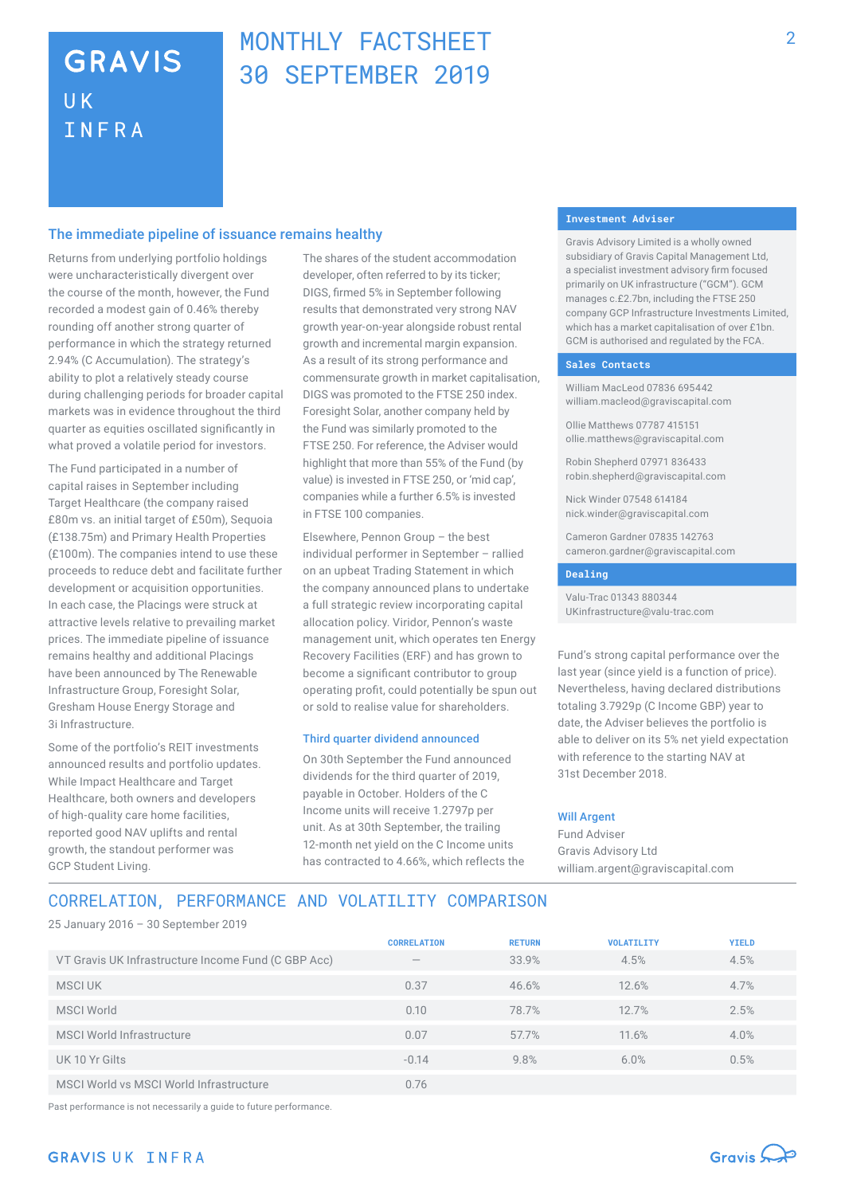## **GRAVIS UK** INFRA

## MONTHLY FACTSHEFT 30 SEPTEMBER 2019

#### The immediate pipeline of issuance remains healthy

Returns from underlying portfolio holdings were uncharacteristically divergent over the course of the month, however, the Fund recorded a modest gain of 0.46% thereby rounding off another strong quarter of performance in which the strategy returned 2.94% (C Accumulation). The strategy's ability to plot a relatively steady course during challenging periods for broader capital markets was in evidence throughout the third quarter as equities oscillated significantly in what proved a volatile period for investors.

The Fund participated in a number of capital raises in September including Target Healthcare (the company raised £80m vs. an initial target of £50m), Sequoia (£138.75m) and Primary Health Properties (£100m). The companies intend to use these proceeds to reduce debt and facilitate further development or acquisition opportunities. In each case, the Placings were struck at attractive levels relative to prevailing market prices. The immediate pipeline of issuance remains healthy and additional Placings have been announced by The Renewable Infrastructure Group, Foresight Solar, Gresham House Energy Storage and 3i Infrastructure.

Some of the portfolio's REIT investments announced results and portfolio updates. While Impact Healthcare and Target Healthcare, both owners and developers of high-quality care home facilities, reported good NAV uplifts and rental growth, the standout performer was GCP Student Living.

The shares of the student accommodation developer, often referred to by its ticker; DIGS, firmed 5% in September following results that demonstrated very strong NAV growth year-on-year alongside robust rental growth and incremental margin expansion. As a result of its strong performance and commensurate growth in market capitalisation, DIGS was promoted to the FTSE 250 index. Foresight Solar, another company held by the Fund was similarly promoted to the FTSE 250. For reference, the Adviser would highlight that more than 55% of the Fund (by value) is invested in FTSE 250, or 'mid cap', companies while a further 6.5% is invested in FTSE 100 companies.

Elsewhere, Pennon Group – the best individual performer in September – rallied on an upbeat Trading Statement in which the company announced plans to undertake a full strategic review incorporating capital allocation policy. Viridor, Pennon's waste management unit, which operates ten Energy Recovery Facilities (ERF) and has grown to become a significant contributor to group operating profit, could potentially be spun out or sold to realise value for shareholders.

#### Third quarter dividend announced

On 30th September the Fund announced dividends for the third quarter of 2019, payable in October. Holders of the C Income units will receive 1.2797p per unit. As at 30th September, the trailing 12-month net yield on the C Income units has contracted to 4.66%, which reflects the

#### **Investment Adviser**

Gravis Advisory Limited is a wholly owned subsidiary of Gravis Capital Management Ltd, a specialist investment advisory firm focused primarily on UK infrastructure ("GCM"). GCM manages c.£2.7bn, including the FTSE 250 company GCP Infrastructure Investments Limited, which has a market capitalisation of over £1bn. GCM is authorised and regulated by the FCA.

#### **Sales Contacts**

William MacLeod 07836 695442 william.macleod@graviscapital.com

Ollie Matthews 07787 415151 ollie.matthews@graviscapital.com

Robin Shepherd 07971 836433 robin.shepherd@graviscapital.com

Nick Winder 07548 614184 nick.winder@graviscapital.com

Cameron Gardner 07835 142763 cameron.gardner@graviscapital.com

#### **Dealing**

Valu-Trac 01343 880344 UKinfrastructure@valu-trac.com

Fund's strong capital performance over the last year (since yield is a function of price). Nevertheless, having declared distributions totaling 3.7929p (C Income GBP) year to date, the Adviser believes the portfolio is able to deliver on its 5% net yield expectation with reference to the starting NAV at 31st December 2018.

#### Will Argent

Fund Adviser Gravis Advisory Ltd william.argent@graviscapital.com

## CORRELATION, PERFORMANCE AND VOLATILITY COMPARISON

25 January 2016 – 30 September 2019

|                                                     | <b>CORRELATION</b>              | <b>RETURN</b> | <b>VOLATILITY</b> | <b>YIELD</b> |
|-----------------------------------------------------|---------------------------------|---------------|-------------------|--------------|
| VT Gravis UK Infrastructure Income Fund (C GBP Acc) | $\hspace{0.1mm}-\hspace{0.1mm}$ | 33.9%         | 4.5%              | 4.5%         |
| MSCI UK                                             | 0.37                            | 46.6%         | 12.6%             | 4.7%         |
| <b>MSCI World</b>                                   | 0.10                            | 78.7%         | 12.7%             | 2.5%         |
| MSCI World Infrastructure                           | 0.07                            | 57.7%         | 11.6%             | 4.0%         |
| UK 10 Yr Gilts                                      | $-0.14$                         | 9.8%          | 6.0%              | 0.5%         |
| MSCI World vs MSCI World Infrastructure             | 0.76                            |               |                   |              |

Past performance is not necessarily a guide to future performance.